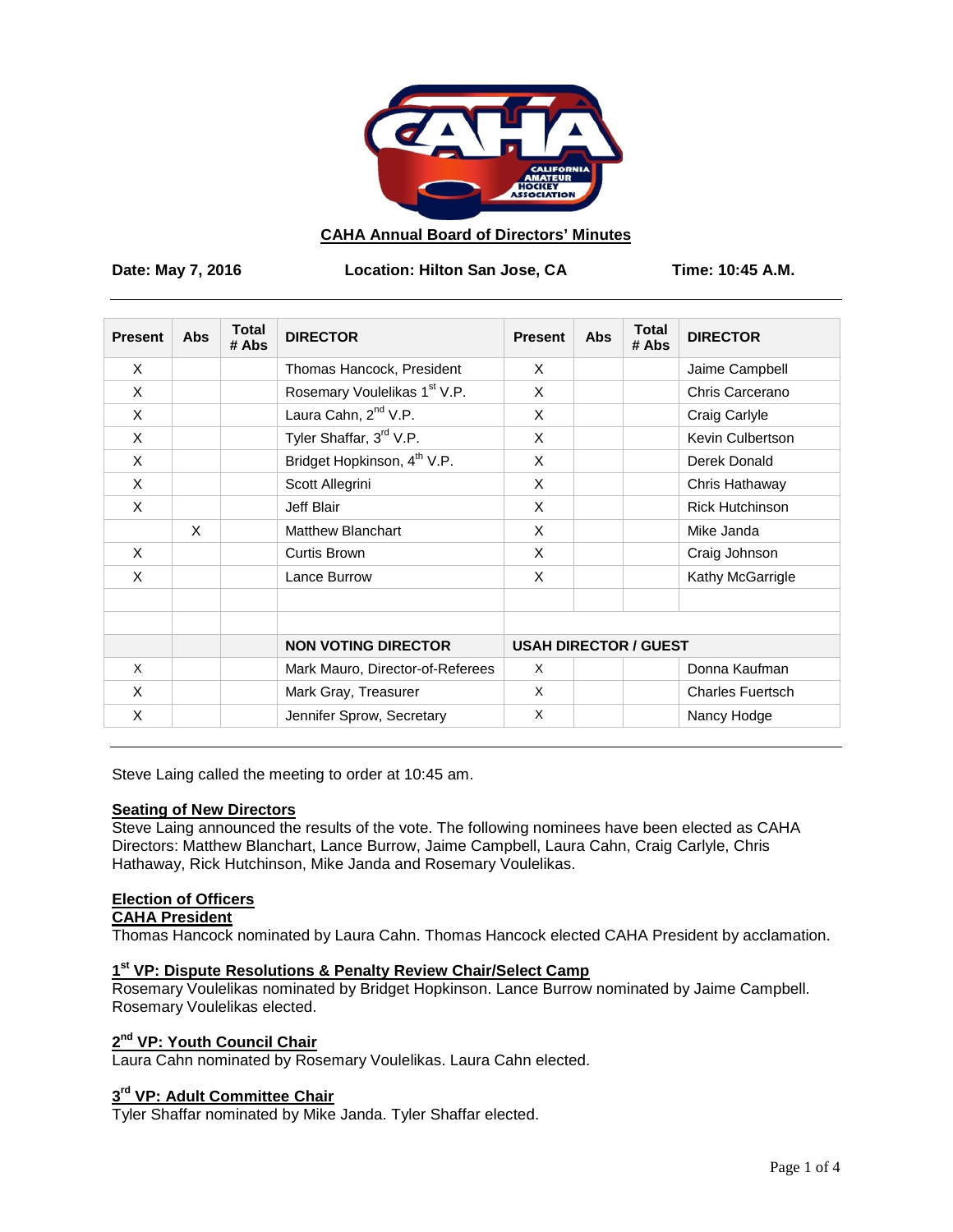

### **CAHA Annual Board of Directors' Minutes**

**Date: May 7, 2016 Location: Hilton San Jose, CA Time: 10:45 A.M.**

| <b>Present</b> | Abs | <b>Total</b><br># Abs | <b>DIRECTOR</b>                          | <b>Present</b>               | Abs | <b>Total</b><br># Abs | <b>DIRECTOR</b>         |
|----------------|-----|-----------------------|------------------------------------------|------------------------------|-----|-----------------------|-------------------------|
| X              |     |                       | Thomas Hancock, President                | X                            |     |                       | Jaime Campbell          |
| X              |     |                       | Rosemary Voulelikas 1 <sup>st</sup> V.P. | X                            |     |                       | Chris Carcerano         |
| X              |     |                       | Laura Cahn, 2 <sup>nd</sup> V.P.         | X                            |     |                       | Craig Carlyle           |
| $\times$       |     |                       | Tyler Shaffar, 3 <sup>rd</sup> V.P.      | X                            |     |                       | Kevin Culbertson        |
| X              |     |                       | Bridget Hopkinson, 4 <sup>th</sup> V.P.  | X                            |     |                       | Derek Donald            |
| X              |     |                       | Scott Allegrini                          | X                            |     |                       | Chris Hathaway          |
| X              |     |                       | Jeff Blair                               | X                            |     |                       | <b>Rick Hutchinson</b>  |
|                | X   |                       | <b>Matthew Blanchart</b>                 | X                            |     |                       | Mike Janda              |
| X              |     |                       | Curtis Brown                             | X                            |     |                       | Craig Johnson           |
| X              |     |                       | Lance Burrow                             | X                            |     |                       | Kathy McGarrigle        |
|                |     |                       | <b>NON VOTING DIRECTOR</b>               | <b>USAH DIRECTOR / GUEST</b> |     |                       |                         |
| X              |     |                       | Mark Mauro, Director-of-Referees         | $\times$                     |     |                       | Donna Kaufman           |
| X              |     |                       | Mark Gray, Treasurer                     | X                            |     |                       | <b>Charles Fuertsch</b> |
| X              |     |                       | Jennifer Sprow, Secretary                | X                            |     |                       | Nancy Hodge             |

Steve Laing called the meeting to order at 10:45 am.

# **Seating of New Directors**

Steve Laing announced the results of the vote. The following nominees have been elected as CAHA Directors: Matthew Blanchart, Lance Burrow, Jaime Campbell, Laura Cahn, Craig Carlyle, Chris Hathaway, Rick Hutchinson, Mike Janda and Rosemary Voulelikas.

### **Election of Officers**

# **CAHA President**

Thomas Hancock nominated by Laura Cahn. Thomas Hancock elected CAHA President by acclamation.

# **1st VP: Dispute Resolutions & Penalty Review Chair/Select Camp**

Rosemary Voulelikas nominated by Bridget Hopkinson. Lance Burrow nominated by Jaime Campbell. Rosemary Voulelikas elected.

### **2nd VP: Youth Council Chair**

Laura Cahn nominated by Rosemary Voulelikas. Laura Cahn elected.

# **3rd VP: Adult Committee Chair**

Tyler Shaffar nominated by Mike Janda. Tyler Shaffar elected.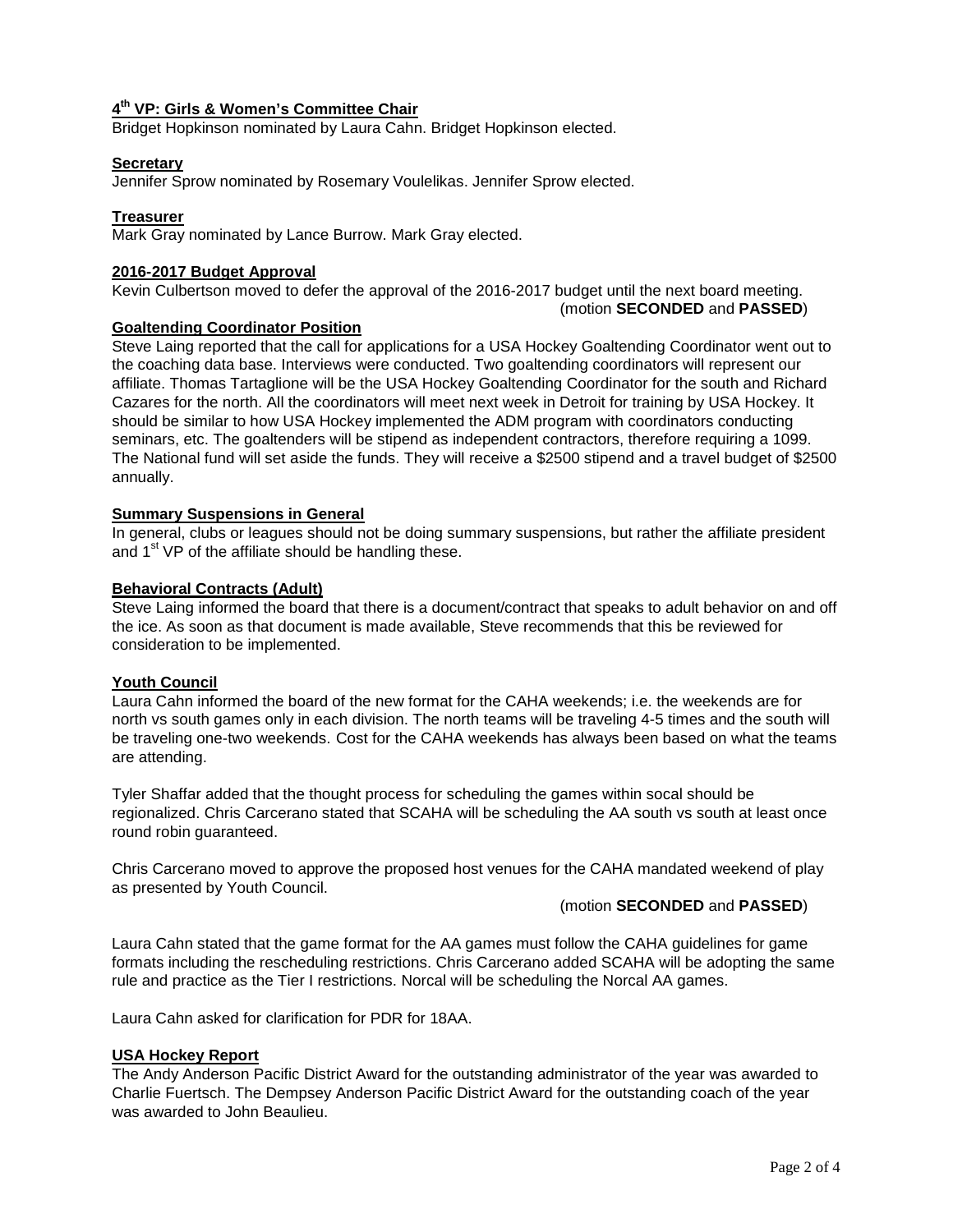# **4th VP: Girls & Women's Committee Chair**

Bridget Hopkinson nominated by Laura Cahn. Bridget Hopkinson elected.

#### **Secretary**

Jennifer Sprow nominated by Rosemary Voulelikas. Jennifer Sprow elected.

#### **Treasurer**

Mark Gray nominated by Lance Burrow. Mark Gray elected.

#### **2016-2017 Budget Approval**

Kevin Culbertson moved to defer the approval of the 2016-2017 budget until the next board meeting. (motion **SECONDED** and **PASSED**)

#### **Goaltending Coordinator Position**

Steve Laing reported that the call for applications for a USA Hockey Goaltending Coordinator went out to the coaching data base. Interviews were conducted. Two goaltending coordinators will represent our affiliate. Thomas Tartaglione will be the USA Hockey Goaltending Coordinator for the south and Richard Cazares for the north. All the coordinators will meet next week in Detroit for training by USA Hockey. It should be similar to how USA Hockey implemented the ADM program with coordinators conducting seminars, etc. The goaltenders will be stipend as independent contractors, therefore requiring a 1099. The National fund will set aside the funds. They will receive a \$2500 stipend and a travel budget of \$2500 annually.

# **Summary Suspensions in General**

In general, clubs or leagues should not be doing summary suspensions, but rather the affiliate president and  $1<sup>st</sup>$  VP of the affiliate should be handling these.

#### **Behavioral Contracts (Adult)**

Steve Laing informed the board that there is a document/contract that speaks to adult behavior on and off the ice. As soon as that document is made available, Steve recommends that this be reviewed for consideration to be implemented.

### **Youth Council**

Laura Cahn informed the board of the new format for the CAHA weekends; i.e. the weekends are for north vs south games only in each division. The north teams will be traveling 4-5 times and the south will be traveling one-two weekends. Cost for the CAHA weekends has always been based on what the teams are attending.

Tyler Shaffar added that the thought process for scheduling the games within socal should be regionalized. Chris Carcerano stated that SCAHA will be scheduling the AA south vs south at least once round robin guaranteed.

Chris Carcerano moved to approve the proposed host venues for the CAHA mandated weekend of play as presented by Youth Council.

#### (motion **SECONDED** and **PASSED**)

Laura Cahn stated that the game format for the AA games must follow the CAHA guidelines for game formats including the rescheduling restrictions. Chris Carcerano added SCAHA will be adopting the same rule and practice as the Tier I restrictions. Norcal will be scheduling the Norcal AA games.

Laura Cahn asked for clarification for PDR for 18AA.

### **USA Hockey Report**

The Andy Anderson Pacific District Award for the outstanding administrator of the year was awarded to Charlie Fuertsch. The Dempsey Anderson Pacific District Award for the outstanding coach of the year was awarded to John Beaulieu.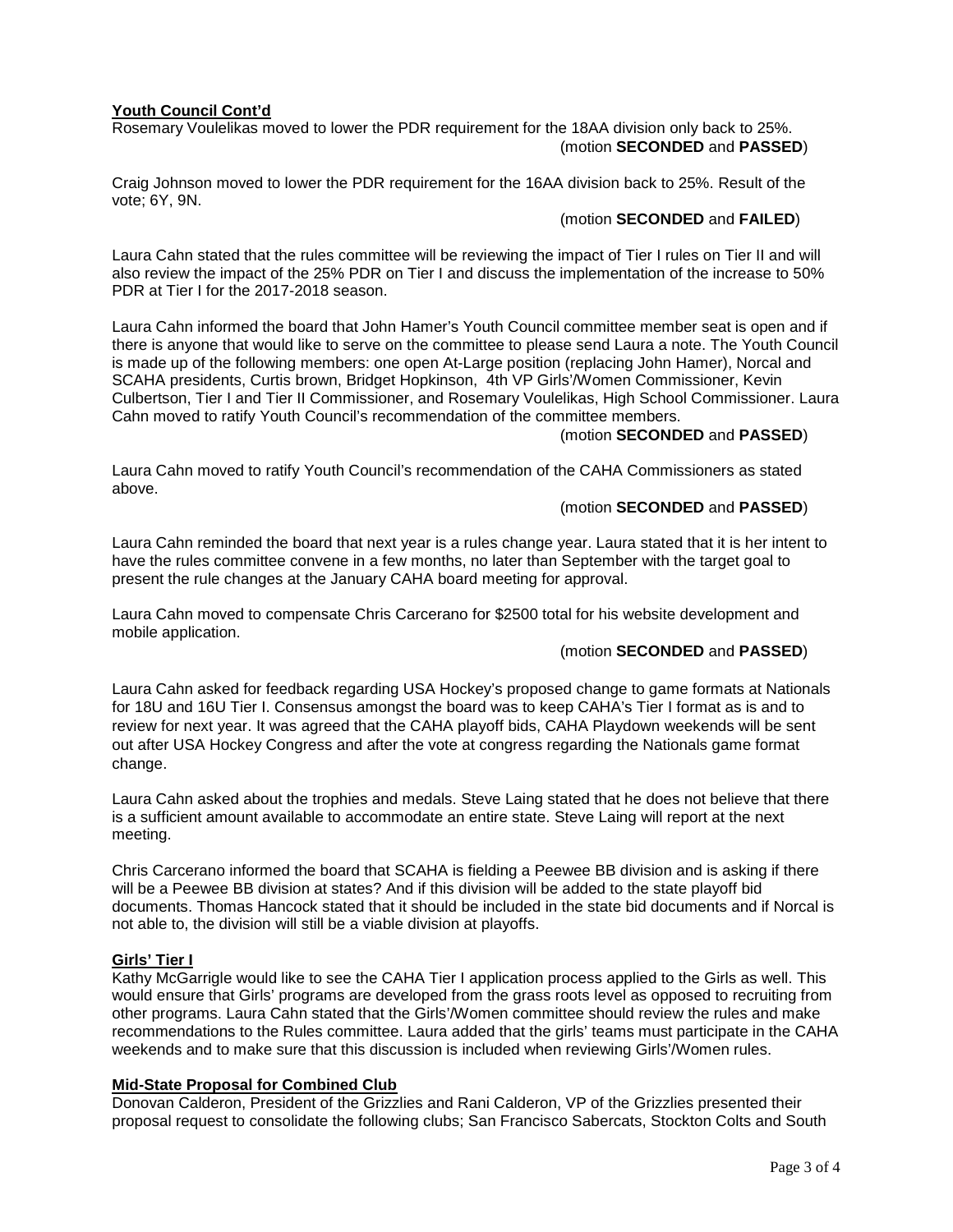### **Youth Council Cont'd**

Rosemary Voulelikas moved to lower the PDR requirement for the 18AA division only back to 25%. (motion **SECONDED** and **PASSED**)

Craig Johnson moved to lower the PDR requirement for the 16AA division back to 25%. Result of the vote; 6Y, 9N.

### (motion **SECONDED** and **FAILED**)

Laura Cahn stated that the rules committee will be reviewing the impact of Tier I rules on Tier II and will also review the impact of the 25% PDR on Tier I and discuss the implementation of the increase to 50% PDR at Tier I for the 2017-2018 season.

Laura Cahn informed the board that John Hamer's Youth Council committee member seat is open and if there is anyone that would like to serve on the committee to please send Laura a note. The Youth Council is made up of the following members: one open At-Large position (replacing John Hamer), Norcal and SCAHA presidents, Curtis brown, Bridget Hopkinson, 4th VP Girls'/Women Commissioner, Kevin Culbertson, Tier I and Tier II Commissioner, and Rosemary Voulelikas, High School Commissioner. Laura Cahn moved to ratify Youth Council's recommendation of the committee members.

### (motion **SECONDED** and **PASSED**)

Laura Cahn moved to ratify Youth Council's recommendation of the CAHA Commissioners as stated above.

### (motion **SECONDED** and **PASSED**)

Laura Cahn reminded the board that next year is a rules change year. Laura stated that it is her intent to have the rules committee convene in a few months, no later than September with the target goal to present the rule changes at the January CAHA board meeting for approval.

Laura Cahn moved to compensate Chris Carcerano for \$2500 total for his website development and mobile application.

### (motion **SECONDED** and **PASSED**)

Laura Cahn asked for feedback regarding USA Hockey's proposed change to game formats at Nationals for 18U and 16U Tier I. Consensus amongst the board was to keep CAHA's Tier I format as is and to review for next year. It was agreed that the CAHA playoff bids, CAHA Playdown weekends will be sent out after USA Hockey Congress and after the vote at congress regarding the Nationals game format change.

Laura Cahn asked about the trophies and medals. Steve Laing stated that he does not believe that there is a sufficient amount available to accommodate an entire state. Steve Laing will report at the next meeting.

Chris Carcerano informed the board that SCAHA is fielding a Peewee BB division and is asking if there will be a Peewee BB division at states? And if this division will be added to the state playoff bid documents. Thomas Hancock stated that it should be included in the state bid documents and if Norcal is not able to, the division will still be a viable division at playoffs.

# **Girls' Tier I**

Kathy McGarrigle would like to see the CAHA Tier I application process applied to the Girls as well. This would ensure that Girls' programs are developed from the grass roots level as opposed to recruiting from other programs. Laura Cahn stated that the Girls'/Women committee should review the rules and make recommendations to the Rules committee. Laura added that the girls' teams must participate in the CAHA weekends and to make sure that this discussion is included when reviewing Girls'/Women rules.

### **Mid-State Proposal for Combined Club**

Donovan Calderon, President of the Grizzlies and Rani Calderon, VP of the Grizzlies presented their proposal request to consolidate the following clubs; San Francisco Sabercats, Stockton Colts and South